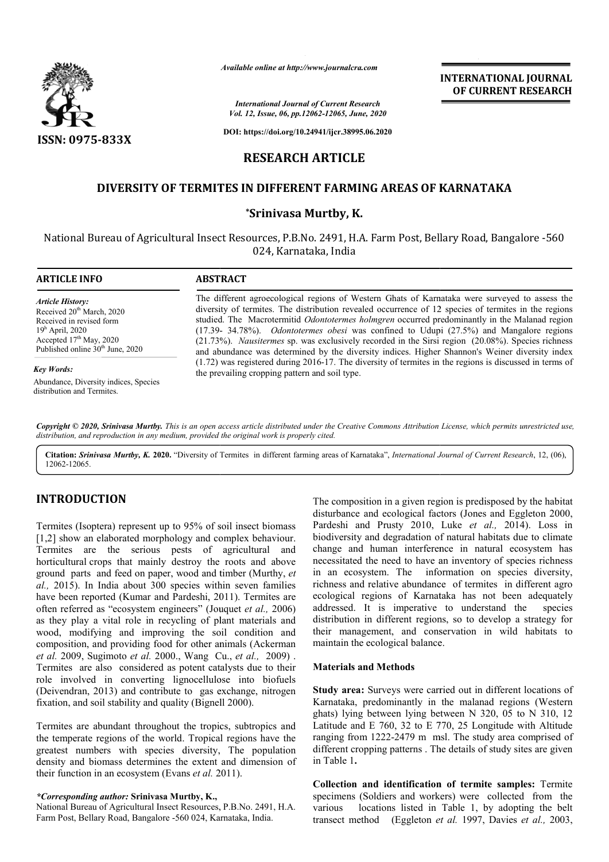

*Available online at http://www.journalcra.com*

*International Journal of Current Research Vol. 12, Issue, 06, pp.12062-12065, June, 2020*

**DOI: https://doi.org/10.24941/ijcr.38995.06.2020**

# **RESEARCH ARTICLE**

# **DIVERSITY OF TERMITES IN DIFFERENT FARMING AREAS OF KARNATAKA AREAS OF KARNATAKA**

### **\*Srinivasa Murtby, K.**

National Bureau of Agricultural Insect Resources, P.B.No. 2491, H.A. Farm Post, Bellary Road, Bangalore -560 024, Karnataka, India

| <b>ARTICLE INFO</b>                                                                                                                                                                            | <b>ABSTRACT</b>                                                                                                                                                                                                                                                                                                                                                                                                                                                                                                                                                                                                      |  |  |
|------------------------------------------------------------------------------------------------------------------------------------------------------------------------------------------------|----------------------------------------------------------------------------------------------------------------------------------------------------------------------------------------------------------------------------------------------------------------------------------------------------------------------------------------------------------------------------------------------------------------------------------------------------------------------------------------------------------------------------------------------------------------------------------------------------------------------|--|--|
| <b>Article History:</b><br>Received 20 <sup>th</sup> March, 2020<br>Received in revised form<br>$19h$ April, 2020<br>Accepted $17th$ May, 2020<br>Published online 30 <sup>th</sup> June, 2020 | The different agroecological regions of Western Ghats of Karnataka were surveyed to assess the<br>diversity of termites. The distribution revealed occurrence of 12 species of termites in the regions<br>studied. The Macrotermitid Odontotermes holmgren occurred predominantly in the Malanad region<br>$(17.39-34.78%)$ . <i>Odontotermes obesi</i> was confined to Udupi $(27.5%)$ and Mangalore regions<br>(21.73%). Nausitermes sp. was exclusively recorded in the Sirsi region (20.08%). Species richness<br>and abundance was determined by the diversity indices. Higher Shannon's Weiner diversity index |  |  |
| Key Words:<br>Abundance, Diversity indices, Species<br>distribution and Termites.                                                                                                              | $(1.72)$ was registered during 2016-17. The diversity of termites in the regions is discussed in terms of<br>the prevailing cropping pattern and soil type.                                                                                                                                                                                                                                                                                                                                                                                                                                                          |  |  |

Copyright © 2020, Srinivasa Murtby. This is an open access article distributed under the Creative Commons Attribution License, which permits unrestricted use, *distribution, and reproduction in any medium, provided the original work is properly cited.*

Citation: Srinivasa Murtby, K. 2020. "Diversity of Termites in different farming areas of Karnataka", International Journal of Current Research, 12, (06), 12062-12065.

# **INTRODUCTION**

Termites (Isoptera) represent up to 95% of soil insect biomass [1,2] show an elaborated morphology and complex behaviour. Termites are the serious pests of agricultural and horticultural crops that mainly destroy the roots and above ground parts and feed on paper, wood and timber (Murthy, *et al.,* 2015). In India about 300 species within seven families have been reported (Kumar and Pardeshi, 2011). Termites are often referred as "ecosystem engineers" (Jouquet et al., 2006) as they play a vital role in recycling of plant materials and wood, modifying and improving the soil condition and composition, and providing food for other animals ( *et al.* 2009, Sugimoto *et al.* 2000., Wang Cu., *et al.,* 2009) . Termites are also considered as potent catalysts due to their role involved in converting lignocellulose into biofuels (Deivendran, 2013) and contribute to gas exchange, nitrogen fixation, and soil stability and quality (Bignell 2000). tal role in recycling of plant materials and<br>
i and improving the soil condition and<br>
providing food for other animals (Ackerman

Termites are abundant throughout the tropics, subtropics and the temperate regions of the world. Tropical regions have the greatest numbers with species diversity, The population density and biomass determines the extent and dimension of their function in an ecosystem (Evans *et al.* 2011).

#### *\*Corresponding author:* **Srinivasa Murtby, K.,**

National Bureau of Agricultural Insect Resources, P.B.No. 2491, H.A. Farm Post, Bellary Road, Bangalore -560 024, Karnataka, India.

The composition in a given region is predisposed by the habitat disturbance and ecological factors (Jones and Eggleton 2000, Pardeshi and Prusty 2010, Luke et al., 2014). Loss in biodiversity and degradation of natural habitats due to climate change and human interference in natural ecosystem has necessitated the need to have an inventory of species richness in an ecosystem. The information on species diversity, biodiversity and degradation of natural habitats due to climate change and human interference in natural ecosystem has necessitated the need to have an inventory of species richness in an ecosystem. The information on spec ecological regions of Karnataka has not been adequately addressed. It is imperative to understand the species distribution in different regions, so to develop a strategy for their management, and conservation in wild habitats to maintain the ecological balance. position in a given region is predisposed by the habitat e and ecological factors (Jones and Eggleton 2000, and Prusty 2010, Luke *et al.*, 2014). Loss in

**INTERNATIONAL JOURNAL OF CURRENT RESEARCH**

#### **Materials and Methods**

**Study area:** Surveys were carried out in different locations of Karnataka, predominantly in the malanad regions (Western ghats) lying between lying between N 320, 05 to N 310, 12 Latitude and E 760, 32 to E 770, 25 Longitude with Altitude ranging from 1222-2479 m msl. The study area comprised of different cropping patterns . The details of study sites are given in Table 1**.** addressed. It is imperative to understand the spece-<br>distribution in different regions, so to develop a strategy<br>their management, and conservation in wild habitats<br>maintain the ecological balance.<br>**Materials and Methods**<br>

**Collection and identification of termite samples: Termite** specimens (Soldiers and workers) were collected from the various locations listed in Table 1, by adopting the belt various locations listed in Table 1, by adopting the belt transect method (Eggleton *et al.*, 1997, Davies *et al.*, 2003,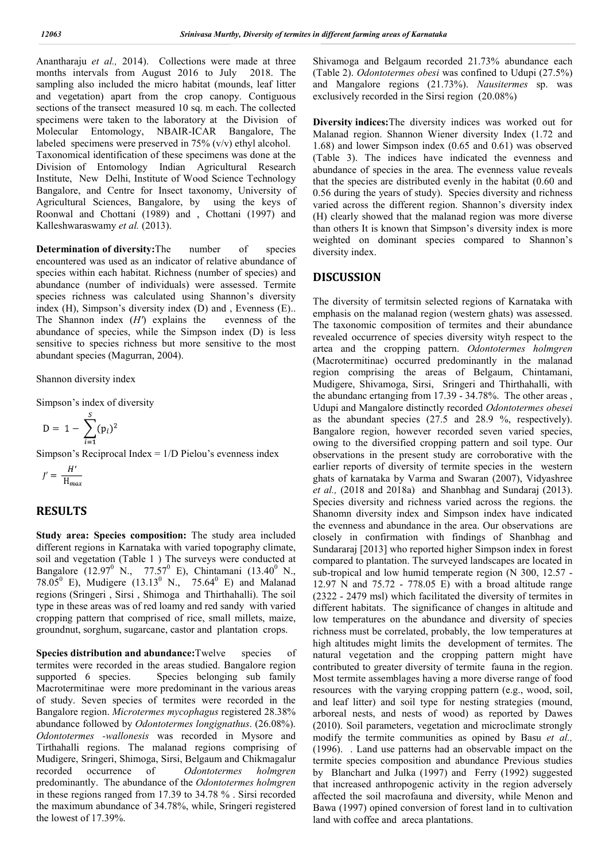Anantharaju *et al.,* 2014). Collections were made at three months intervals from August 2016 to July 2018. The sampling also included the micro habitat (mounds, leaf litter and vegetation) apart from the crop canopy. Contiguous sections of the transect measured 10 sq. m each. The collected specimens were taken to the laboratory at the Division of Molecular Entomology, NBAIR-ICAR Bangalore, The labeled specimens were preserved in 75% (v/v) ethyl alcohol. Taxonomical identification of these specimens was done at the Division of Entomology Indian Agricultural Research Institute, New Delhi, Institute of Wood Science Technology Bangalore, and Centre for Insect taxonomy, University of Agricultural Sciences, Bangalore, by using the keys of Roonwal and Chottani (1989) and , Chottani (1997) and Kalleshwaraswamy *et al.* (2013).

**Determination of diversity:**The number of species encountered was used as an indicator of relative abundance of species within each habitat. Richness (number of species) and abundance (number of individuals) were assessed. Termite species richness was calculated using Shannon's diversity index (H), Simpson's diversity index (D) and , Evenness (E).. The Shannon index (*H'*) explains the evenness of the abundance of species, while the Simpson index (D) is less sensitive to species richness but more sensitive to the most abundant species (Magurran, 2004).

Shannon diversity index

Simpson's index of diversity

$$
D = 1 - \sum_{i=1}^{S} (p_i)^2
$$

Simpson's Reciprocal Index = 1/D Pielou's evenness index

$$
J' = \frac{H'}{H_{max}}
$$

## **RESULTS**

**Study area: Species composition:** The study area included different regions in Karnataka with varied topography climate, soil and vegetation (Table 1 ) The surveys were conducted at Bangalore (12.97<sup>0</sup> N., 77.57<sup>0</sup> E), Chintamani (13.40<sup>0</sup> N., 78.05<sup>0</sup> E), Mudigere (13.13<sup>0</sup> N., 75.64<sup>0</sup> E) and Malanad regions (Sringeri , Sirsi , Shimoga and Thirthahalli). The soil type in these areas was of red loamy and red sandy with varied cropping pattern that comprised of rice, small millets, maize, groundnut, sorghum, sugarcane, castor and plantation crops.

**Species distribution and abundance:**Twelve species of termites were recorded in the areas studied. Bangalore region supported 6 species. Species belonging sub family Macrotermitinae were more predominant in the various areas of study. Seven species of termites were recorded in the Bangalore region. *Microtermes mycophagus* registered 28.38% abundance followed by *Odontotermes longignathus*. (26.08%). *Odontotermes -wallonesis* was recorded in Mysore and Tirthahalli regions. The malanad regions comprising of Mudigere, Sringeri, Shimoga, Sirsi, Belgaum and Chikmagalur<br>recorded occurrence of *Odontotermes holmgren* occurrence of *Odontotermes holmgren* predominantly. The abundance of the *Odontotermes holmgren*  in these regions ranged from 17.39 to 34.78 % . Sirsi recorded the maximum abundance of 34.78%, while, Sringeri registered the lowest of 17.39%.

Shivamoga and Belgaum recorded 21.73% abundance each (Table 2). *Odontotermes obesi* was confined to Udupi (27.5%) and Mangalore regions (21.73%). *Nausitermes* sp. was exclusively recorded in the Sirsi region (20.08%)

**Diversity indices:**The diversity indices was worked out for Malanad region. Shannon Wiener diversity Index (1.72 and 1.68) and lower Simpson index (0.65 and 0.61) was observed (Table 3). The indices have indicated the evenness and abundance of species in the area. The evenness value reveals that the species are distributed evenly in the habitat (0.60 and 0.56 during the years of study). Species diversity and richness varied across the different region. Shannon's diversity index (H) clearly showed that the malanad region was more diverse than others It is known that Simpson's diversity index is more weighted on dominant species compared to Shannon's diversity index.

### **DISCUSSION**

The diversity of termitsin selected regions of Karnataka with emphasis on the malanad region (western ghats) was assessed. The taxonomic composition of termites and their abundance revealed occurrence of species diversity wityh respect to the artea and the cropping pattern. *Odontotermes holmgren* (Macrotermitinae) occurred predominantly in the malanad region comprising the areas of Belgaum, Chintamani, Mudigere, Shivamoga, Sirsi, Sringeri and Thirthahalli, with the abundanc ertanging from 17.39 - 34.78%. The other areas , Udupi and Mangalore distinctly recorded *Odontotermes obesei*  as the abundant species (27.5 and 28.9 %, respectively). Bangalore region, however recorded seven varied species, owing to the diversified cropping pattern and soil type. Our observations in the present study are corroborative with the earlier reports of diversity of termite species in the western ghats of karnataka by Varma and Swaran (2007), Vidyashree *et al.,* (2018 and 2018a) and Shanbhag and Sundaraj (2013). Species diversity and richness varied across the regions. the Shanomn diversity index and Simpson index have indicated the evenness and abundance in the area. Our observations are closely in confirmation with findings of Shanbhag and Sundararaj [2013] who reported higher Simpson index in forest compared to plantation. The surveyed landscapes are located in sub-tropical and low humid temperate region (N 300, 12.57 - 12.97 N and 75.72 - 778.05 E) with a broad altitude range (2322 - 2479 msl) which facilitated the diversity of termites in different habitats. The significance of changes in altitude and low temperatures on the abundance and diversity of species richness must be correlated, probably, the low temperatures at high altitudes might limits the development of termites. The natural vegetation and the cropping pattern might have contributed to greater diversity of termite fauna in the region. Most termite assemblages having a more diverse range of food resources with the varying cropping pattern (e.g., wood, soil, and leaf litter) and soil type for nesting strategies (mound, arboreal nests, and nests of wood) as reported by Dawes (2010). Soil parameters, vegetation and microclimate strongly modify the termite communities as opined by Basu *et al.,*  (1996). . Land use patterns had an observable impact on the termite species composition and abundance Previous studies by Blanchart and Julka (1997) and Ferry (1992) suggested that increased anthropogenic activity in the region adversely affected the soil macrofauna and diversity, while Menon and Bawa (1997) opined conversion of forest land in to cultivation land with coffee and areca plantations.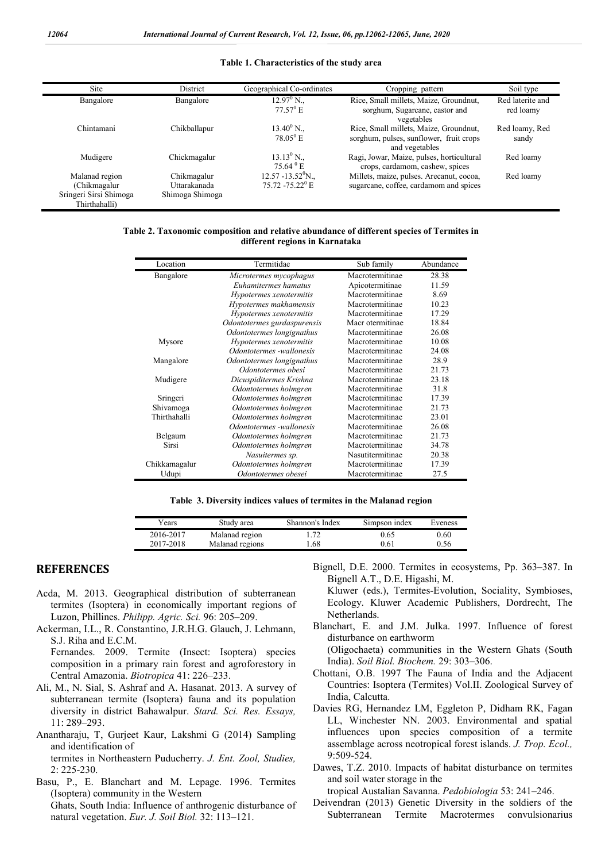#### **Table 1. Characteristics of the study area**

| Site<br>District                                                           |                                                | Geographical Co-ordinates                                         | Cropping pattern                                                                                    | Soil type                     |
|----------------------------------------------------------------------------|------------------------------------------------|-------------------------------------------------------------------|-----------------------------------------------------------------------------------------------------|-------------------------------|
| Bangalore                                                                  | Bangalore                                      | $12.97^{\circ}$ N.<br>$77.57$ <sup>0</sup> E                      | Rice, Small millets, Maize, Groundnut,<br>sorghum, Sugarcane, castor and<br>vegetables              | Red laterite and<br>red loamy |
| Chintamani                                                                 | Chikballapur                                   | $13.40^{\circ}$ N.<br>$78.05^{\circ}$ E                           | Rice, Small millets, Maize, Groundnut,<br>sorghum, pulses, sunflower, fruit crops<br>and vegetables | Red loamy, Red<br>sandy       |
| Mudigere                                                                   | Chickmagalur                                   | $13.13^{\circ}$ N.,<br>$75.64$ <sup>0</sup> E                     | Ragi, Jowar, Maize, pulses, horticultural<br>crops, cardamom, cashew, spices                        | Red loamy                     |
| Malanad region<br>(Chikmagalur)<br>Sringeri Sirsi Shimoga<br>Thirthahalli) | Chikmagalur<br>Uttarakanada<br>Shimoga Shimoga | $12.57 - 13.52$ <sup>o</sup> N.<br>$75.72 - 75.22$ <sup>0</sup> E | Millets, maize, pulses. Arecanut, cocoa,<br>sugarcane, coffee, cardamom and spices                  | Red loamy                     |

| Table 2. Taxonomic composition and relative abundance of different species of Termites in |
|-------------------------------------------------------------------------------------------|
| different regions in Karnataka                                                            |

| Location      | Termitidae                  | Sub family       | Abundance |
|---------------|-----------------------------|------------------|-----------|
| Bangalore     | Microtermes mycophagus      | Macrotermitinae  | 28.38     |
|               | Euhamitermes hamatus        | Apicotermitinae  | 11.59     |
|               | Hypotermes xenotermitis     | Macrotermitinae  | 8.69      |
|               | Hypotermes makhamensis      | Macrotermitinae  | 10.23     |
|               | Hypotermes xenotermitis     | Macrotermitinae  | 17.29     |
|               | Odontotermes gurdaspurensis | Macr otermitinae | 18.84     |
|               | Odontotermes longignathus   | Macrotermitinae  | 26.08     |
| Mysore        | Hypotermes xenotermitis     | Macrotermitinae  | 10.08     |
|               | Odontotermes -wallonesis    | Macrotermitinae  | 24.08     |
| Mangalore     | Odontotermes longignathus   | Macrotermitinae  | 28.9      |
|               | Odontotermes obesi          | Macrotermitinae  | 21.73     |
| Mudigere      | Dicuspiditermes Krishna     | Macrotermitinae  | 23.18     |
|               | Odontotermes holmgren       | Macrotermitinae  | 31.8      |
| Sringeri      | Odontotermes holmgren       | Macrotermitinae  | 17.39     |
| Shivamoga     | Odontotermes holmgren       | Macrotermitinae  | 21.73     |
| Thirthahalli  | Odontotermes holmgren       | Macrotermitinae  | 23.01     |
|               | Odontotermes -wallonesis    | Macrotermitinae  | 26.08     |
| Belgaum       | Odontotermes holmgren       | Macrotermitinae  | 21.73     |
| Sirsi         | Odontotermes holmgren       | Macrotermitinae  | 34.78     |
|               | Nasuitermes sp.             | Nasutitermitinae | 20.38     |
| Chikkamagalur | Odontotermes holmgren       | Macrotermitinae  | 17.39     |
| Udupi         | Odontotermes obesei         | Macrotermitinae  | 27.5      |

|  |  |  | Table 3. Diversity indices values of termites in the Malanad region |  |  |  |
|--|--|--|---------------------------------------------------------------------|--|--|--|
|  |  |  |                                                                     |  |  |  |

| ears      | Studv area      | Shannon's Index | Simpson index | Eveness |  |
|-----------|-----------------|-----------------|---------------|---------|--|
| 2016-2017 | Malanad region  | .               | 0.65          | 0.60    |  |
| 2017-2018 | Malanad regions | 1.68            | 0.61          | 0.56    |  |

### **REFERENCES**

- Acda, M. 2013. Geographical distribution of subterranean termites (Isoptera) in economically important regions of Luzon, Phillines. *Philipp. Agric. Sci.* 96: 205–209.
- Ackerman, I.L., R. Constantino, J.R.H.G. Glauch, J. Lehmann, S.J. Riha and E.C.M.

Fernandes. 2009. Termite (Insect: Isoptera) species composition in a primary rain forest and agroforestory in Central Amazonia. *Biotropica* 41: 226–233.

- Ali, M., N. Sial, S. Ashraf and A. Hasanat. 2013. A survey of subterranean termite (Isoptera) fauna and its population diversity in district Bahawalpur. *Stard. Sci. Res. Essays,*  11: 289–293.
- Anantharaju, T, Gurjeet Kaur, Lakshmi G (2014) Sampling and identification of

termites in Northeastern Puducherry. *J. Ent. Zool, Studies,* 2: 225-230.

Basu, P., E. Blanchart and M. Lepage. 1996. Termites (Isoptera) community in the Western Ghats, South India: Influence of anthrogenic disturbance of natural vegetation. *Eur. J. Soil Biol.* 32: 113–121.

Bignell, D.E. 2000. Termites in ecosystems, Pp. 363–387. In Bignell A.T., D.E. Higashi, M.

Kluwer (eds.), Termites-Evolution, Sociality, Symbioses, Ecology. Kluwer Academic Publishers, Dordrecht, The Netherlands.

- Blanchart, E. and J.M. Julka. 1997. Influence of forest disturbance on earthworm (Oligochaeta) communities in the Western Ghats (South India). *Soil Biol. Biochem.* 29: 303–306.
- Chottani, O.B. 1997 The Fauna of India and the Adjacent Countries: Isoptera (Termites) Vol.II. Zoological Survey of India, Calcutta.
- Davies RG, Hernandez LM, Eggleton P, Didham RK, Fagan LL, Winchester NN. 2003. Environmental and spatial influences upon species composition of a termite assemblage across neotropical forest islands. *J. Trop. Ecol.,* 9:509-524.
- Dawes, T.Z. 2010. Impacts of habitat disturbance on termites and soil water storage in the
- tropical Austalian Savanna. *Pedobiologia* 53: 241–246.
- Deivendran (2013) Genetic Diversity in the soldiers of the Subterranean Termite Macrotermes convulsionarius